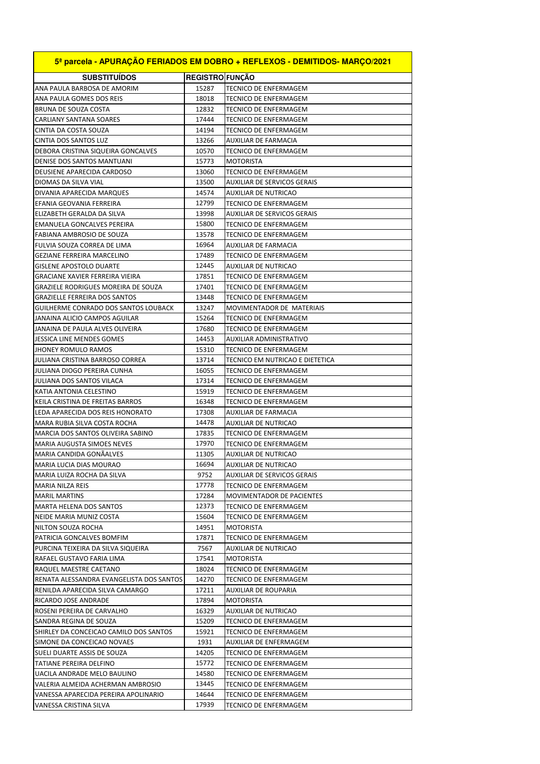| 5ª parcela - APURAÇÃO FERIADOS EM DOBRO + REFLEXOS - DEMITIDOS- MARÇO/2021 |                        |                                                             |  |
|----------------------------------------------------------------------------|------------------------|-------------------------------------------------------------|--|
| <b>SUBSTITUIDOS</b>                                                        | <b>REGISTRO FUNÇÃO</b> |                                                             |  |
| ANA PAULA BARBOSA DE AMORIM                                                | 15287                  | <b>TECNICO DE ENFERMAGEM</b>                                |  |
| ANA PAULA GOMES DOS REIS                                                   | 18018                  | TECNICO DE ENFERMAGEM                                       |  |
| BRUNA DE SOUZA COSTA                                                       | 12832                  | TECNICO DE ENFERMAGEM                                       |  |
| CARLIANY SANTANA SOARES                                                    | 17444                  | TECNICO DE ENFERMAGEM                                       |  |
| CINTIA DA COSTA SOUZA                                                      | 14194                  | TECNICO DE ENFERMAGEM                                       |  |
| CINTIA DOS SANTOS LUZ                                                      | 13266                  | AUXILIAR DE FARMACIA                                        |  |
| DEBORA CRISTINA SIQUEIRA GONCALVES                                         | 10570                  | <b>TECNICO DE ENFERMAGEM</b>                                |  |
| DENISE DOS SANTOS MANTUANI                                                 | 15773                  | <b>MOTORISTA</b>                                            |  |
| DEUSIENE APARECIDA CARDOSO                                                 | 13060                  | TECNICO DE ENFERMAGEM                                       |  |
| DIOMAS DA SILVA VIAL                                                       | 13500                  | <b>AUXILIAR DE SERVICOS GERAIS</b>                          |  |
| DIVANIA APARECIDA MARQUES                                                  | 14574                  | <b>AUXILIAR DE NUTRICAO</b>                                 |  |
| EFANIA GEOVANIA FERREIRA                                                   | 12799                  | TECNICO DE ENFERMAGEM                                       |  |
| ELIZABETH GERALDA DA SILVA                                                 | 13998                  | <b>AUXILIAR DE SERVICOS GERAIS</b>                          |  |
| <b>EMANUELA GONCALVES PEREIRA</b>                                          | 15800                  | TECNICO DE ENFERMAGEM                                       |  |
| FABIANA AMBROSIO DE SOUZA                                                  | 13578                  | TECNICO DE ENFERMAGEM                                       |  |
| FULVIA SOUZA CORREA DE LIMA                                                | 16964                  | AUXILIAR DE FARMACIA                                        |  |
| <b>GEZIANE FERREIRA MARCELINO</b>                                          | 17489                  | TECNICO DE ENFERMAGEM                                       |  |
| <b>GISLENE APOSTOLO DUARTE</b>                                             | 12445                  | AUXILIAR DE NUTRICAO                                        |  |
| GRACIANE XAVIER FERREIRA VIEIRA                                            | 17851                  | TECNICO DE ENFERMAGEM                                       |  |
| <b>GRAZIELE RODRIGUES MOREIRA DE SOUZA</b>                                 | 17401                  | TECNICO DE ENFERMAGEM                                       |  |
| <b>GRAZIELLE FERREIRA DOS SANTOS</b>                                       | 13448                  | TECNICO DE ENFERMAGEM                                       |  |
| GUILHERME CONRADO DOS SANTOS LOUBACK                                       | 13247                  | MOVIMENTADOR DE MATERIAIS                                   |  |
| JANAINA ALICIO CAMPOS AGUILAR                                              | 15264                  | <b>TECNICO DE ENFERMAGEM</b>                                |  |
| JANAINA DE PAULA ALVES OLIVEIRA                                            | 17680                  | TECNICO DE ENFERMAGEM                                       |  |
| JESSICA LINE MENDES GOMES                                                  | 14453                  | AUXILIAR ADMINISTRATIVO                                     |  |
| JHONEY ROMULO RAMOS                                                        | 15310                  | TECNICO DE ENFERMAGEM                                       |  |
| JULIANA CRISTINA BARROSO CORREA                                            | 13714                  | TECNICO EM NUTRICAO E DIETETICA                             |  |
| JULIANA DIOGO PEREIRA CUNHA                                                | 16055                  | TECNICO DE ENFERMAGEM                                       |  |
| JULIANA DOS SANTOS VILACA                                                  | 17314                  | TECNICO DE ENFERMAGEM                                       |  |
| KATIA ANTONIA CELESTINO                                                    | 15919                  | TECNICO DE ENFERMAGEM                                       |  |
| KEILA CRISTINA DE FREITAS BARROS                                           | 16348                  | TECNICO DE ENFERMAGEM                                       |  |
| LEDA APARECIDA DOS REIS HONORATO                                           | 17308                  | <b>AUXILIAR DE FARMACIA</b>                                 |  |
| MARA RUBIA SILVA COSTA ROCHA                                               | 14478                  | AUXILIAR DE NUTRICAO                                        |  |
| MARCIA DOS SANTOS OLIVEIRA SABINO                                          | 17835                  | TECNICO DE ENFERMAGEM                                       |  |
| <b>MARIA AUGUSTA SIMOES NEVES</b>                                          | 17970                  | TECNICO DE ENFERMAGEM                                       |  |
| MARIA CANDIDA GONÃALVES                                                    | 11305                  | AUXILIAR DE NUTRICAO                                        |  |
| MARIA LUCIA DIAS MOURAO                                                    | 16694<br>9752          | AUXILIAR DE NUTRICAO                                        |  |
| IMARIA LUIZA ROCHA DA SILVA                                                |                        | AUXILIAR DE SERVICOS GERAIS<br><b>TECNICO DE ENFERMAGEM</b> |  |
| MARIA NILZA REIS                                                           | 17778                  | MOVIMENTADOR DE PACIENTES                                   |  |
| <b>MARIL MARTINS</b>                                                       | 17284                  | TECNICO DE ENFERMAGEM                                       |  |
| MARTA HELENA DOS SANTOS<br>NEIDE MARIA MUNIZ COSTA                         | 12373<br>15604         | TECNICO DE ENFERMAGEM                                       |  |
| NILTON SOUZA ROCHA                                                         | 14951                  | MOTORISTA                                                   |  |
| PATRICIA GONCALVES BOMFIM                                                  | 17871                  | TECNICO DE ENFERMAGEM                                       |  |
| PURCINA TEIXEIRA DA SILVA SIQUEIRA                                         | 7567                   | AUXILIAR DE NUTRICAO                                        |  |
| RAFAEL GUSTAVO FARIA LIMA                                                  | 17541                  | <b>MOTORISTA</b>                                            |  |
| RAQUEL MAESTRE CAETANO                                                     | 18024                  | TECNICO DE ENFERMAGEM                                       |  |
| RENATA ALESSANDRA EVANGELISTA DOS SANTOS                                   | 14270                  | TECNICO DE ENFERMAGEM                                       |  |
| RENILDA APARECIDA SILVA CAMARGO                                            | 17211                  | AUXILIAR DE ROUPARIA                                        |  |
| RICARDO JOSE ANDRADE                                                       | 17894                  | MOTORISTA                                                   |  |
| ROSENI PEREIRA DE CARVALHO                                                 | 16329                  | AUXILIAR DE NUTRICAO                                        |  |
| SANDRA REGINA DE SOUZA                                                     | 15209                  | TECNICO DE ENFERMAGEM                                       |  |
| SHIRLEY DA CONCEICAO CAMILO DOS SANTOS                                     | 15921                  | TECNICO DE ENFERMAGEM                                       |  |
| SIMONE DA CONCEICAO NOVAES                                                 | 1931                   | AUXILIAR DE ENFERMAGEM                                      |  |
| SUELI DUARTE ASSIS DE SOUZA                                                | 14205                  | TECNICO DE ENFERMAGEM                                       |  |
| TATIANE PEREIRA DELFINO                                                    | 15772                  | TECNICO DE ENFERMAGEM                                       |  |
| UACILA ANDRADE MELO BAULINO                                                | 14580                  | TECNICO DE ENFERMAGEM                                       |  |
| VALERIA ALMEIDA ACHERMAN AMBROSIO                                          | 13445                  | TECNICO DE ENFERMAGEM                                       |  |
| VANESSA APARECIDA PEREIRA APOLINARIO                                       | 14644                  | TECNICO DE ENFERMAGEM                                       |  |
| VANESSA CRISTINA SILVA                                                     | 17939                  | TECNICO DE ENFERMAGEM                                       |  |